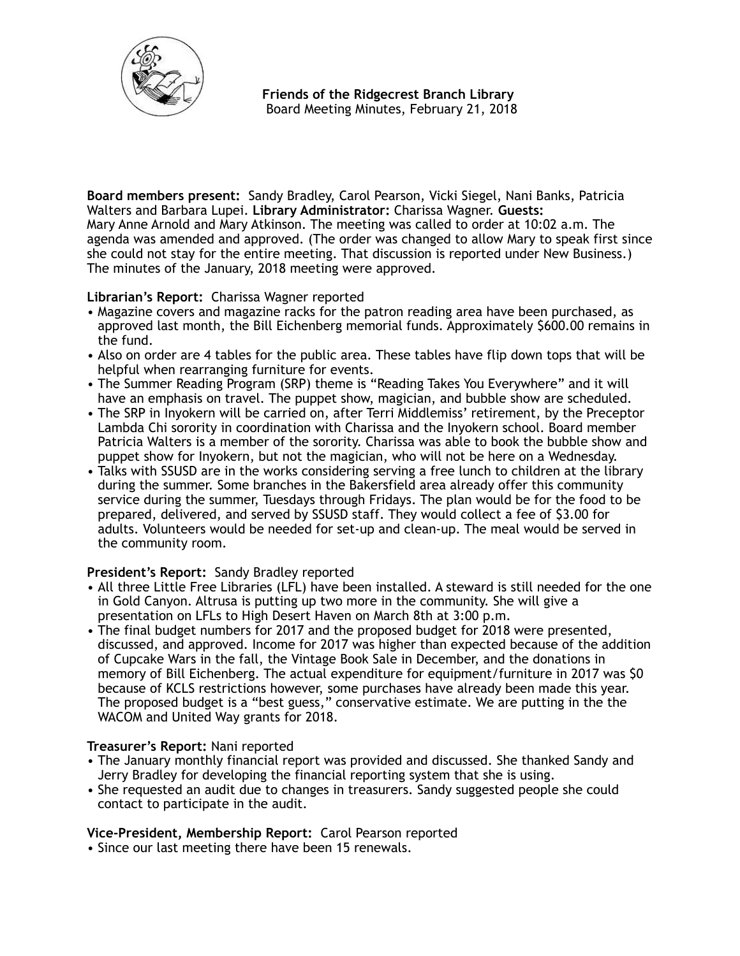

**Board members present:** Sandy Bradley, Carol Pearson, Vicki Siegel, Nani Banks, Patricia Walters and Barbara Lupei. **Library Administrator:** Charissa Wagner. **Guests:**  Mary Anne Arnold and Mary Atkinson. The meeting was called to order at 10:02 a.m. The agenda was amended and approved. (The order was changed to allow Mary to speak first since she could not stay for the entire meeting. That discussion is reported under New Business.) The minutes of the January, 2018 meeting were approved.

## **Librarian's Report:** Charissa Wagner reported

- Magazine covers and magazine racks for the patron reading area have been purchased, as approved last month, the Bill Eichenberg memorial funds. Approximately \$600.00 remains in the fund.
- Also on order are 4 tables for the public area. These tables have flip down tops that will be helpful when rearranging furniture for events.
- The Summer Reading Program (SRP) theme is "Reading Takes You Everywhere" and it will have an emphasis on travel. The puppet show, magician, and bubble show are scheduled.
- The SRP in Inyokern will be carried on, after Terri Middlemiss' retirement, by the Preceptor Lambda Chi sorority in coordination with Charissa and the Inyokern school. Board member Patricia Walters is a member of the sorority. Charissa was able to book the bubble show and puppet show for Inyokern, but not the magician, who will not be here on a Wednesday.
- Talks with SSUSD are in the works considering serving a free lunch to children at the library during the summer. Some branches in the Bakersfield area already offer this community service during the summer, Tuesdays through Fridays. The plan would be for the food to be prepared, delivered, and served by SSUSD staff. They would collect a fee of \$3.00 for adults. Volunteers would be needed for set-up and clean-up. The meal would be served in the community room.

# **President's Report:** Sandy Bradley reported

- All three Little Free Libraries (LFL) have been installed. A steward is still needed for the one in Gold Canyon. Altrusa is putting up two more in the community. She will give a presentation on LFLs to High Desert Haven on March 8th at 3:00 p.m.
- The final budget numbers for 2017 and the proposed budget for 2018 were presented, discussed, and approved. Income for 2017 was higher than expected because of the addition of Cupcake Wars in the fall, the Vintage Book Sale in December, and the donations in memory of Bill Eichenberg. The actual expenditure for equipment/furniture in 2017 was \$0 because of KCLS restrictions however, some purchases have already been made this year. The proposed budget is a "best guess," conservative estimate. We are putting in the the WACOM and United Way grants for 2018.

# **Treasurer's Report:** Nani reported

- The January monthly financial report was provided and discussed. She thanked Sandy and Jerry Bradley for developing the financial reporting system that she is using.
- She requested an audit due to changes in treasurers. Sandy suggested people she could contact to participate in the audit.

### **Vice-President, Membership Report:** Carol Pearson reported

• Since our last meeting there have been 15 renewals.